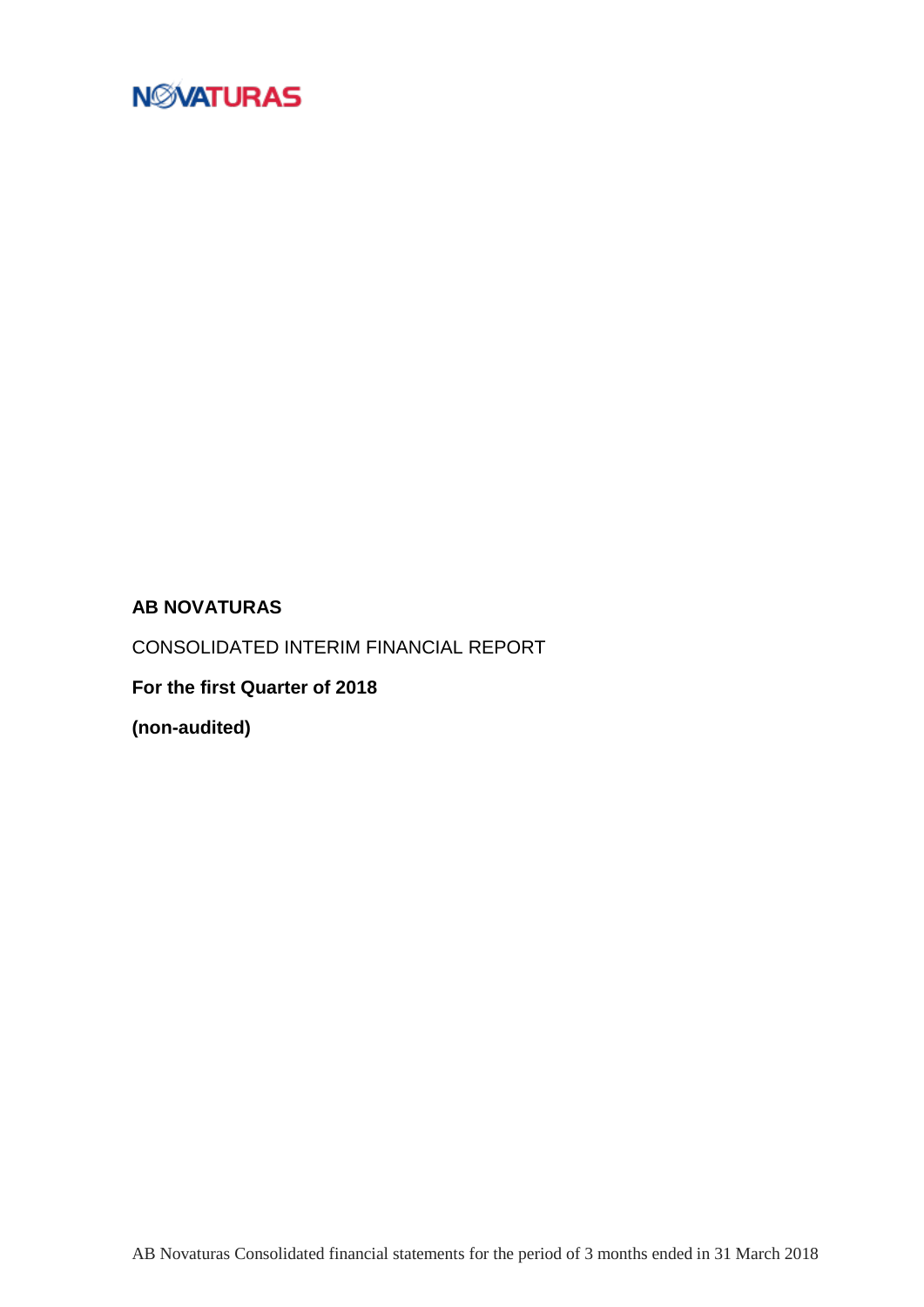

## **AB NOVATURAS**

CONSOLIDATED INTERIM FINANCIAL REPORT

**For the first Quarter of 2018**

**(non-audited)**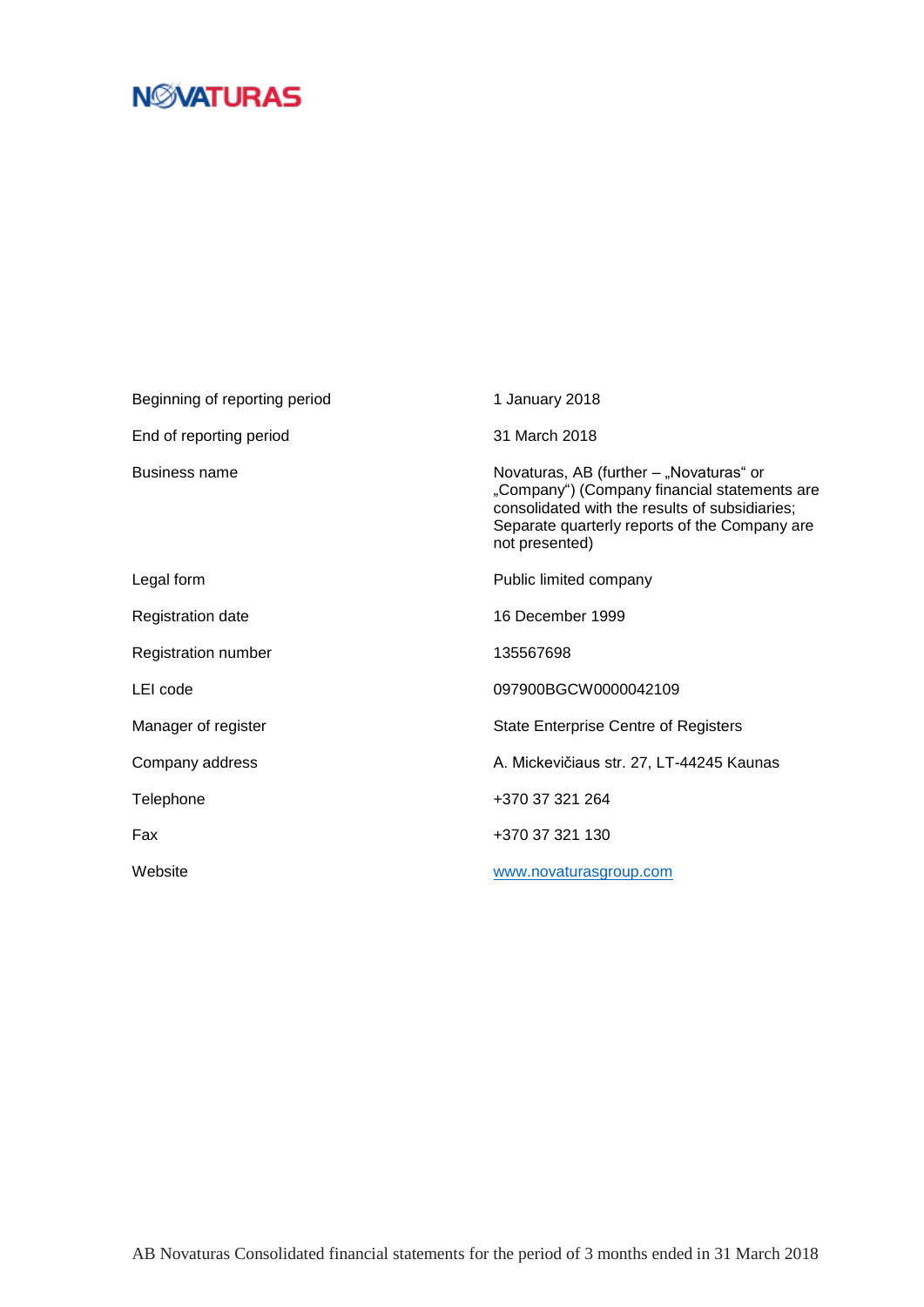| Beginning of reporting period | 1 January 2018                                                                                                                                                                                               |
|-------------------------------|--------------------------------------------------------------------------------------------------------------------------------------------------------------------------------------------------------------|
| End of reporting period       | 31 March 2018                                                                                                                                                                                                |
| Business name                 | Novaturas, AB (further - "Novaturas" or<br>"Company") (Company financial statements are<br>consolidated with the results of subsidiaries;<br>Separate quarterly reports of the Company are<br>not presented) |
| Legal form                    | Public limited company                                                                                                                                                                                       |
| <b>Registration date</b>      | 16 December 1999                                                                                                                                                                                             |
| Registration number           | 135567698                                                                                                                                                                                                    |
| LEI code                      | 097900BGCW0000042109                                                                                                                                                                                         |
| Manager of register           | <b>State Enterprise Centre of Registers</b>                                                                                                                                                                  |
| Company address               | A. Mickevičiaus str. 27, LT-44245 Kaunas                                                                                                                                                                     |
| Telephone                     | +370 37 321 264                                                                                                                                                                                              |
| Fax                           | +370 37 321 130                                                                                                                                                                                              |
| Website                       | www.novaturasgroup.com                                                                                                                                                                                       |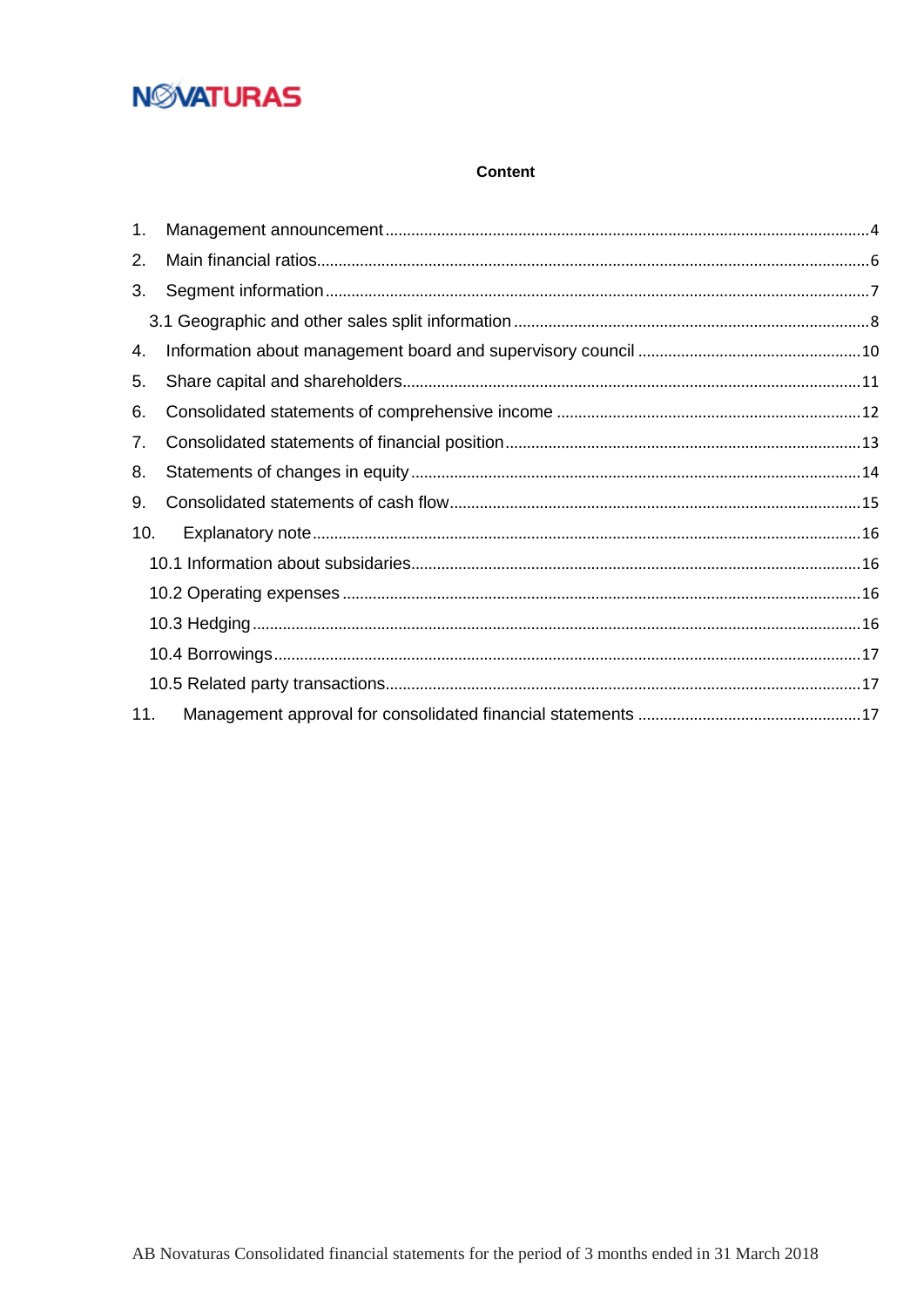### **Content**

| 1.  |  |
|-----|--|
| 2.  |  |
| 3.  |  |
|     |  |
| 4.  |  |
| 5.  |  |
| 6.  |  |
| 7.  |  |
| 8.  |  |
| 9.  |  |
| 10. |  |
|     |  |
|     |  |
|     |  |
|     |  |
|     |  |
| 11. |  |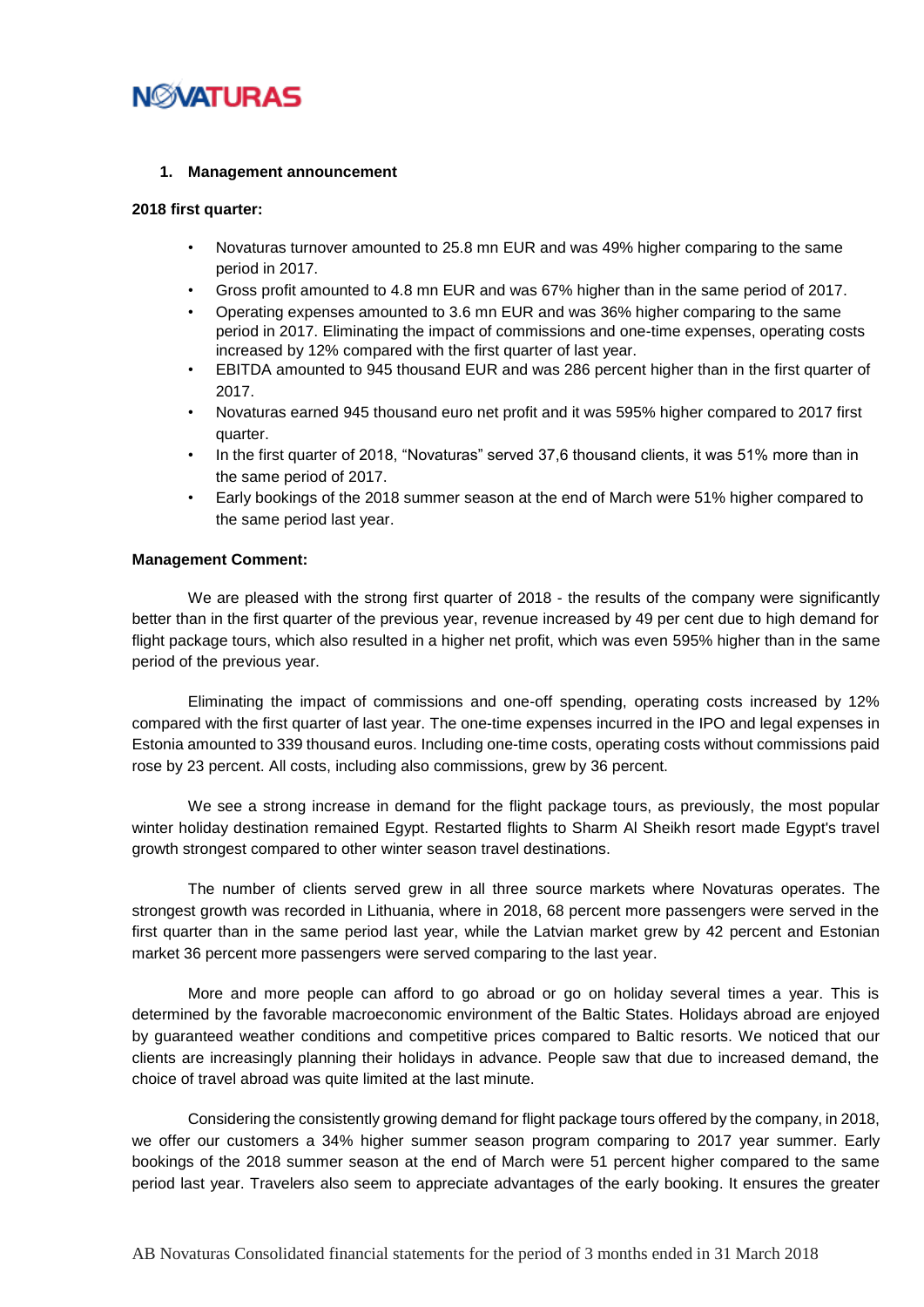

#### <span id="page-3-0"></span>**1. Management announcement**

#### **2018 first quarter:**

- Novaturas turnover amounted to 25.8 mn EUR and was 49% higher comparing to the same period in 2017.
- Gross profit amounted to 4.8 mn EUR and was 67% higher than in the same period of 2017.
- Operating expenses amounted to 3.6 mn EUR and was 36% higher comparing to the same period in 2017. Eliminating the impact of commissions and one-time expenses, operating costs increased by 12% compared with the first quarter of last year.
- EBITDA amounted to 945 thousand EUR and was 286 percent higher than in the first quarter of 2017.
- Novaturas earned 945 thousand euro net profit and it was 595% higher compared to 2017 first quarter.
- In the first quarter of 2018, "Novaturas" served 37,6 thousand clients, it was 51% more than in the same period of 2017.
- Early bookings of the 2018 summer season at the end of March were 51% higher compared to the same period last year.

#### **Management Comment:**

We are pleased with the strong first quarter of 2018 - the results of the company were significantly better than in the first quarter of the previous year, revenue increased by 49 per cent due to high demand for flight package tours, which also resulted in a higher net profit, which was even 595% higher than in the same period of the previous year.

Eliminating the impact of commissions and one-off spending, operating costs increased by 12% compared with the first quarter of last year. The one-time expenses incurred in the IPO and legal expenses in Estonia amounted to 339 thousand euros. Including one-time costs, operating costs without commissions paid rose by 23 percent. All costs, including also commissions, grew by 36 percent.

We see a strong increase in demand for the flight package tours, as previously, the most popular winter holiday destination remained Egypt. Restarted flights to Sharm Al Sheikh resort made Egypt's travel growth strongest compared to other winter season travel destinations.

The number of clients served grew in all three source markets where Novaturas operates. The strongest growth was recorded in Lithuania, where in 2018, 68 percent more passengers were served in the first quarter than in the same period last year, while the Latvian market grew by 42 percent and Estonian market 36 percent more passengers were served comparing to the last year.

More and more people can afford to go abroad or go on holiday several times a year. This is determined by the favorable macroeconomic environment of the Baltic States. Holidays abroad are enjoyed by guaranteed weather conditions and competitive prices compared to Baltic resorts. We noticed that our clients are increasingly planning their holidays in advance. People saw that due to increased demand, the choice of travel abroad was quite limited at the last minute.

Considering the consistently growing demand for flight package tours offered by the company, in 2018, we offer our customers a 34% higher summer season program comparing to 2017 year summer. Early bookings of the 2018 summer season at the end of March were 51 percent higher compared to the same period last year. Travelers also seem to appreciate advantages of the early booking. It ensures the greater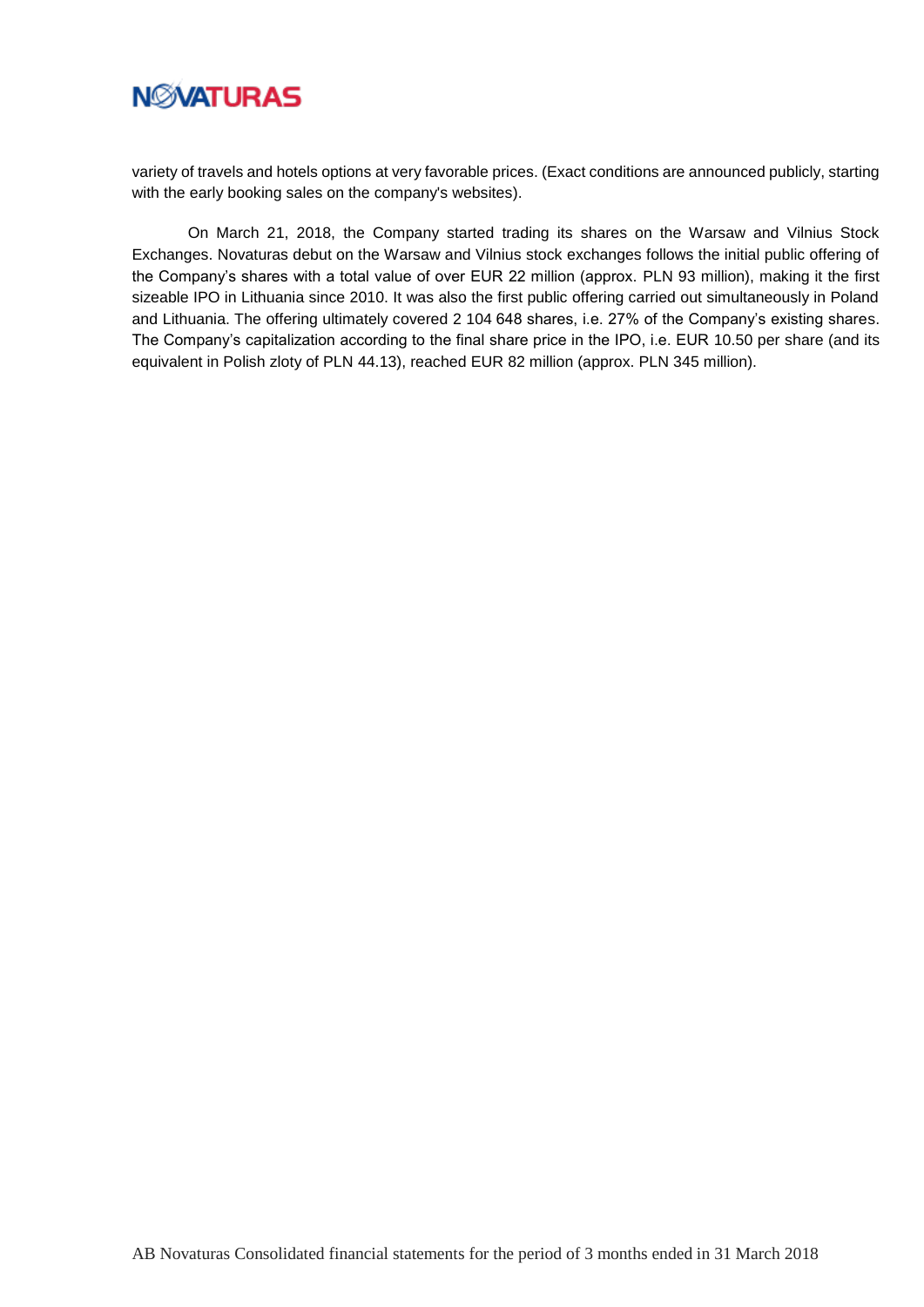

variety of travels and hotels options at very favorable prices. (Exact conditions are announced publicly, starting with the early booking sales on the company's websites).

On March 21, 2018, the Company started trading its shares on the Warsaw and Vilnius Stock Exchanges. Novaturas debut on the Warsaw and Vilnius stock exchanges follows the initial public offering of the Company's shares with a total value of over EUR 22 million (approx. PLN 93 million), making it the first sizeable IPO in Lithuania since 2010. It was also the first public offering carried out simultaneously in Poland and Lithuania. The offering ultimately covered 2 104 648 shares, i.e. 27% of the Company's existing shares. The Company's capitalization according to the final share price in the IPO, i.e. EUR 10.50 per share (and its equivalent in Polish zloty of PLN 44.13), reached EUR 82 million (approx. PLN 345 million).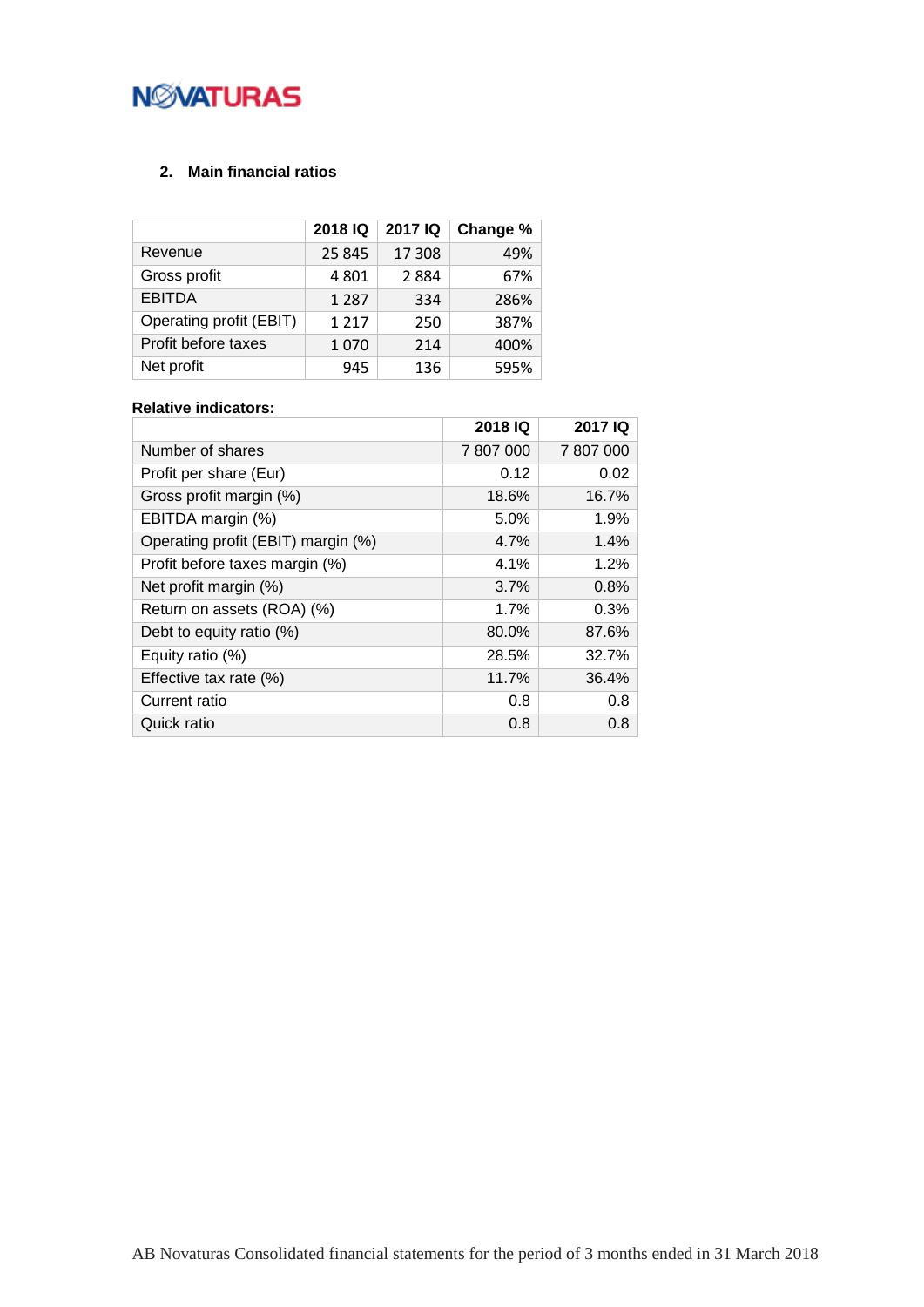## **NMATURAS**

## <span id="page-5-0"></span>**2. Main financial ratios**

|                         | 2018 IQ | 2017 IQ | Change % |
|-------------------------|---------|---------|----------|
| Revenue                 | 25 845  | 17 308  | 49%      |
| Gross profit            | 4 8 0 1 | 2884    | 67%      |
| <b>EBITDA</b>           | 1 2 8 7 | 334     | 286%     |
| Operating profit (EBIT) | 1 2 1 7 | 250     | 387%     |
| Profit before taxes     | 1070    | 214     | 400%     |
| Net profit              | 945     | 136     | 595%     |

### **Relative indicators:**

|                                    | 2018 IQ   | 2017 IQ   |
|------------------------------------|-----------|-----------|
| Number of shares                   | 7 807 000 | 7 807 000 |
| Profit per share (Eur)             | 0.12      | 0.02      |
| Gross profit margin (%)            | 18.6%     | 16.7%     |
| EBITDA margin (%)                  | 5.0%      | 1.9%      |
| Operating profit (EBIT) margin (%) | 4.7%      | 1.4%      |
| Profit before taxes margin (%)     | 4.1%      | 1.2%      |
| Net profit margin (%)              | 3.7%      | 0.8%      |
| Return on assets (ROA) (%)         | 1.7%      | 0.3%      |
| Debt to equity ratio (%)           | 80.0%     | 87.6%     |
| Equity ratio (%)                   | 28.5%     | 32.7%     |
| Effective tax rate (%)             | 11.7%     | 36.4%     |
| Current ratio                      | 0.8       | 0.8       |
| Quick ratio                        | 0.8       | 0.8       |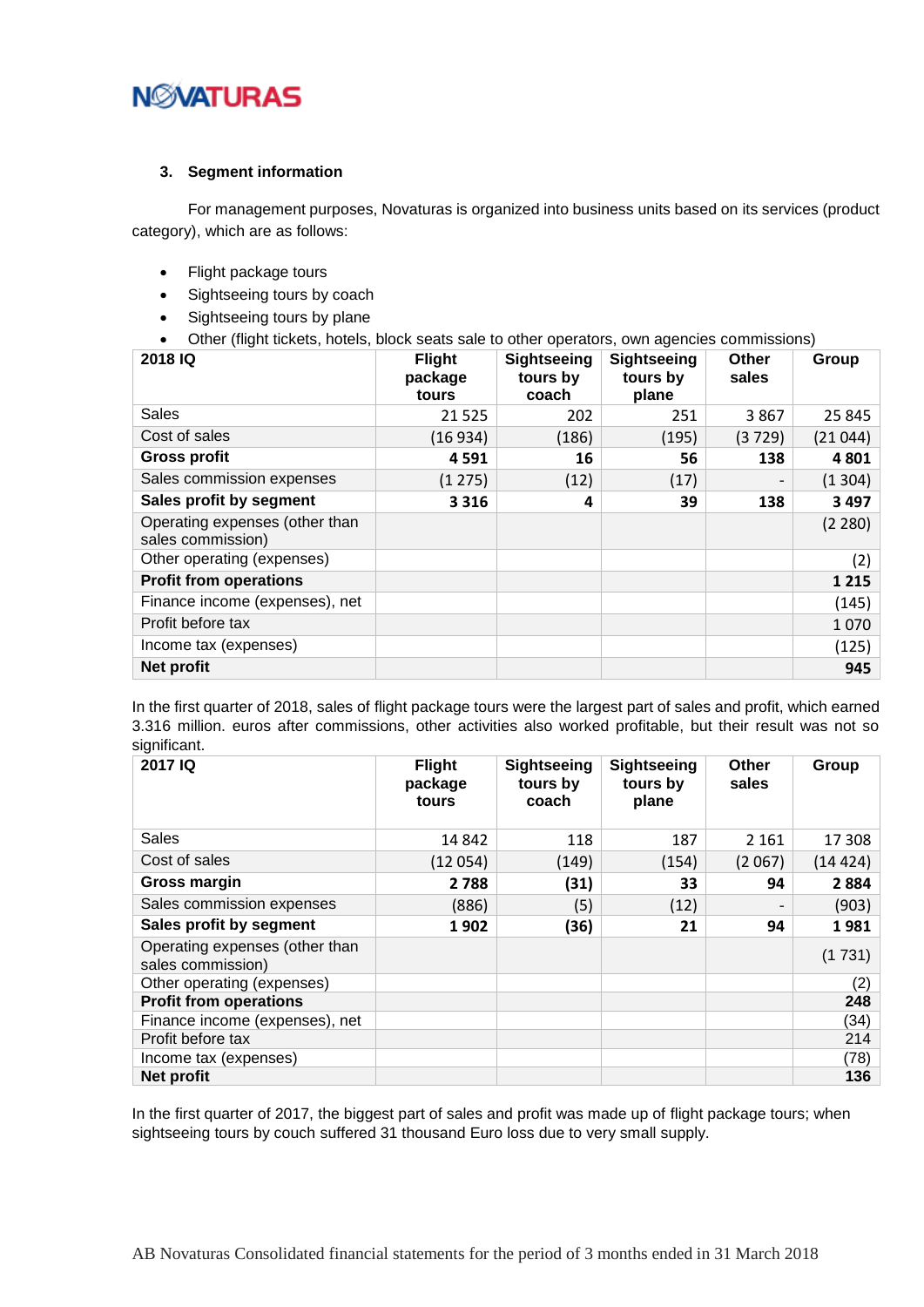

#### <span id="page-6-0"></span>**3. Segment information**

For management purposes, Novaturas is organized into business units based on its services (product category), which are as follows:

- Flight package tours
- Sightseeing tours by coach
- Sightseeing tours by plane
- Other (flight tickets, hotels, block seats sale to other operators, own agencies commissions)

| 2018 IQ                                             | <b>Flight</b><br>package<br>tours | <b>Sightseeing</b><br>tours by<br>coach | <b>Sightseeing</b><br>tours by<br>plane | <b>Other</b><br>sales | Group   |
|-----------------------------------------------------|-----------------------------------|-----------------------------------------|-----------------------------------------|-----------------------|---------|
| Sales                                               | 21525                             | 202                                     | 251                                     | 3867                  | 25 845  |
| Cost of sales                                       | (16934)                           | (186)                                   | (195)                                   | (3729)                | (21044) |
| <b>Gross profit</b>                                 | 4591                              | 16                                      | 56                                      | 138                   | 4801    |
| Sales commission expenses                           | (1275)                            | (12)                                    | (17)                                    |                       | (1304)  |
| Sales profit by segment                             | 3 3 1 6                           | 4                                       | 39                                      | 138                   | 3 4 9 7 |
| Operating expenses (other than<br>sales commission) |                                   |                                         |                                         |                       | (2 280) |
| Other operating (expenses)                          |                                   |                                         |                                         |                       | (2)     |
| <b>Profit from operations</b>                       |                                   |                                         |                                         |                       | 1 2 1 5 |
| Finance income (expenses), net                      |                                   |                                         |                                         |                       | (145)   |
| Profit before tax                                   |                                   |                                         |                                         |                       | 1070    |
| Income tax (expenses)                               |                                   |                                         |                                         |                       | (125)   |
| Net profit                                          |                                   |                                         |                                         |                       | 945     |

In the first quarter of 2018, sales of flight package tours were the largest part of sales and profit, which earned 3.316 million. euros after commissions, other activities also worked profitable, but their result was not so significant.

| 2017 IQ                                             | <b>Flight</b><br>package<br>tours | <b>Sightseeing</b><br>tours by<br>coach | <b>Sightseeing</b><br>tours by<br>plane | Other<br>sales | Group   |
|-----------------------------------------------------|-----------------------------------|-----------------------------------------|-----------------------------------------|----------------|---------|
| Sales                                               | 14 842                            | 118                                     | 187                                     | 2 1 6 1        | 17 308  |
| Cost of sales                                       | (12054)                           | (149)                                   | (154)                                   | (2067)         | (14424) |
| Gross margin                                        | 2 7 8 8                           | (31)                                    | 33                                      | 94             | 2884    |
| Sales commission expenses                           | (886)                             | (5)                                     | (12)                                    |                | (903)   |
| Sales profit by segment                             | 1902                              | (36)                                    | 21                                      | 94             | 1981    |
| Operating expenses (other than<br>sales commission) |                                   |                                         |                                         |                | (1731)  |
| Other operating (expenses)                          |                                   |                                         |                                         |                | (2)     |
| <b>Profit from operations</b>                       |                                   |                                         |                                         |                | 248     |
| Finance income (expenses), net                      |                                   |                                         |                                         |                | (34)    |
| Profit before tax                                   |                                   |                                         |                                         |                | 214     |
| Income tax (expenses)                               |                                   |                                         |                                         |                | (78)    |
| Net profit                                          |                                   |                                         |                                         |                | 136     |

In the first quarter of 2017, the biggest part of sales and profit was made up of flight package tours; when sightseeing tours by couch suffered 31 thousand Euro loss due to very small supply.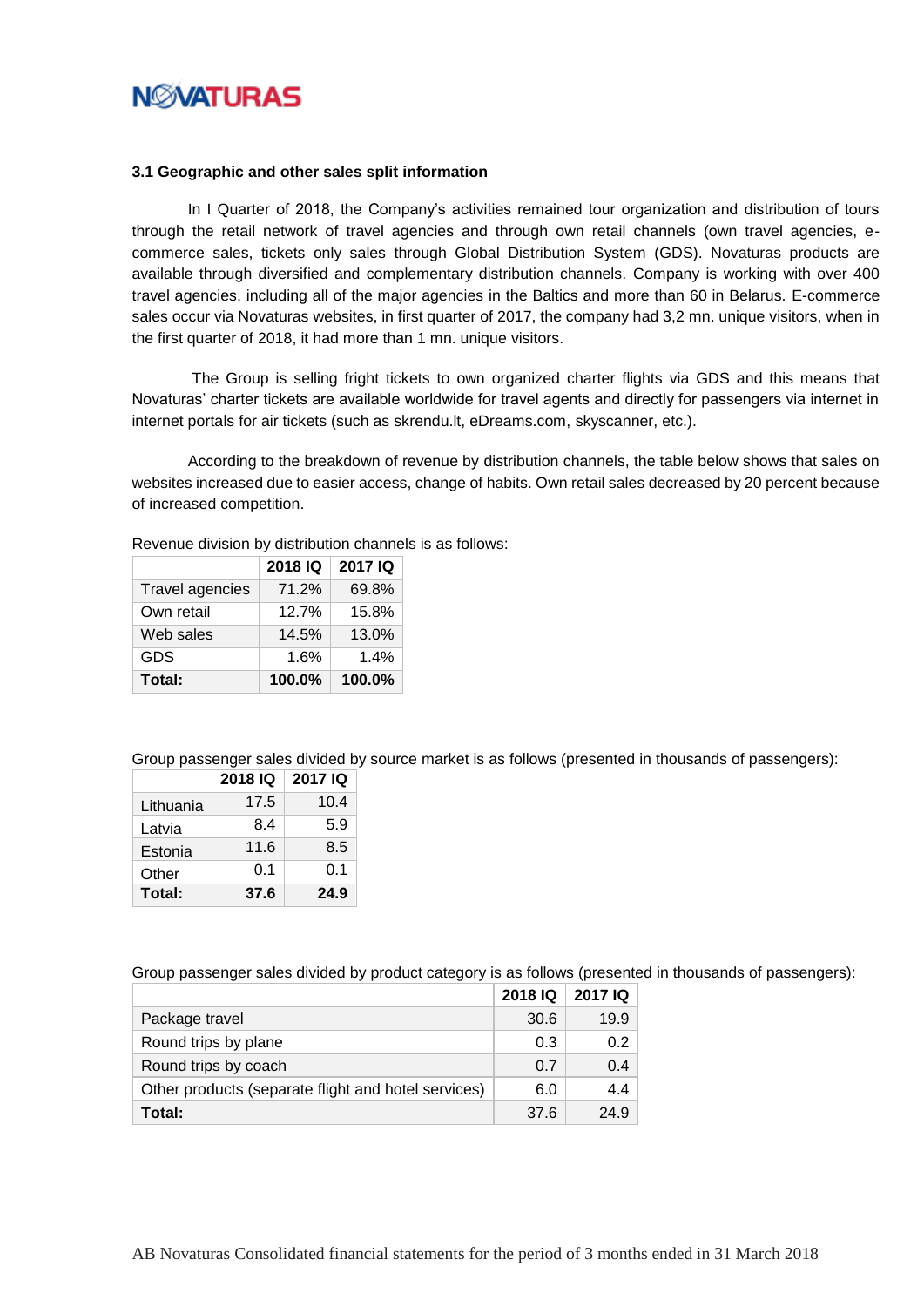

#### <span id="page-7-0"></span>**3.1 Geographic and other sales split information**

In I Quarter of 2018, the Company's activities remained tour organization and distribution of tours through the retail network of travel agencies and through own retail channels (own travel agencies, ecommerce sales, tickets only sales through Global Distribution System (GDS). Novaturas products are available through diversified and complementary distribution channels. Company is working with over 400 travel agencies, including all of the major agencies in the Baltics and more than 60 in Belarus. E-commerce sales occur via Novaturas websites, in first quarter of 2017, the company had 3,2 mn. unique visitors, when in the first quarter of 2018, it had more than 1 mn. unique visitors.

The Group is selling fright tickets to own organized charter flights via GDS and this means that Novaturas' charter tickets are available worldwide for travel agents and directly for passengers via internet in internet portals for air tickets (such as skrendu.lt, eDreams.com, skyscanner, etc.).

According to the breakdown of revenue by distribution channels, the table below shows that sales on websites increased due to easier access, change of habits. Own retail sales decreased by 20 percent because of increased competition.

Revenue division by distribution channels is as follows:

|                        | 2018 IQ | 2017 IQ |
|------------------------|---------|---------|
| <b>Travel agencies</b> | 71.2%   | 69.8%   |
| Own retail             | 12.7%   | 15.8%   |
| Web sales              | 14.5%   | 13.0%   |
| GDS                    | 1.6%    | 1.4%    |
| Total:                 | 100.0%  | 100.0%  |

Group passenger sales divided by source market is as follows (presented in thousands of passengers):

|           | 2018 IQ | 2017 IQ |
|-----------|---------|---------|
| Lithuania | 17.5    | 10.4    |
| Latvia    | 8.4     | 5.9     |
| Estonia   | 11.6    | 8.5     |
| Other     | 0.1     | 0.1     |
| Total:    | 37.6    | 24.9    |

Group passenger sales divided by product category is as follows (presented in thousands of passengers):

|                                                     | 2018 IQ | 2017 IQ |
|-----------------------------------------------------|---------|---------|
| Package travel                                      | 30.6    | 19.9    |
| Round trips by plane                                | 0.3     | 0.2     |
| Round trips by coach                                | 0.7     | 0.4     |
| Other products (separate flight and hotel services) | 6.0     | 44      |
| Total:                                              | 37.6    | 24.9    |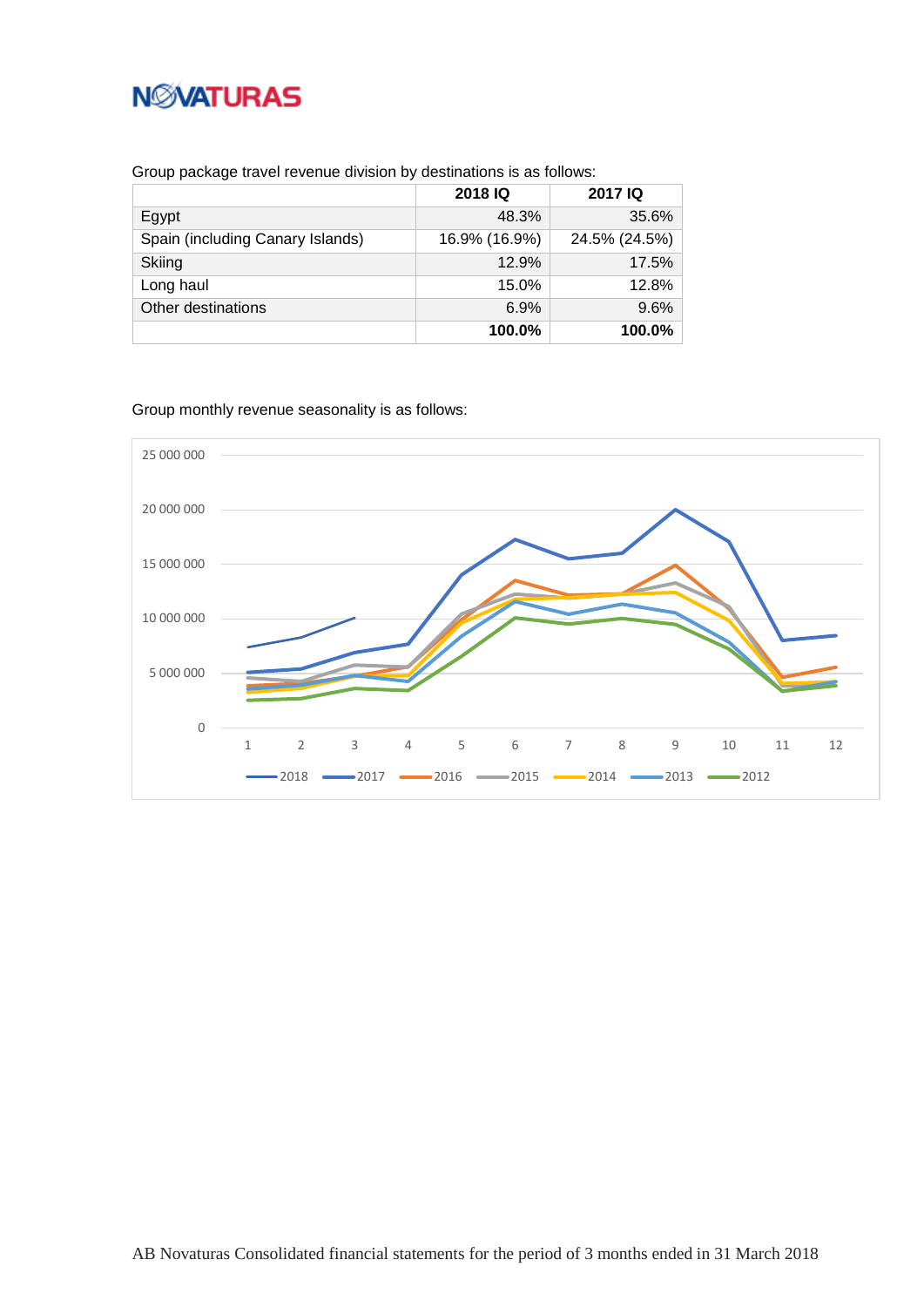

Group package travel revenue division by destinations is as follows:

|                                  | 2018 IQ       | <b>2017 IQ</b> |
|----------------------------------|---------------|----------------|
| Egypt                            | 48.3%         | 35.6%          |
| Spain (including Canary Islands) | 16.9% (16.9%) | 24.5% (24.5%)  |
| Skiing                           | 12.9%         | 17.5%          |
| Long haul                        | 15.0%         | 12.8%          |
| Other destinations               | 6.9%          | 9.6%           |
|                                  | 100.0%        | 100.0%         |

Group monthly revenue seasonality is as follows:

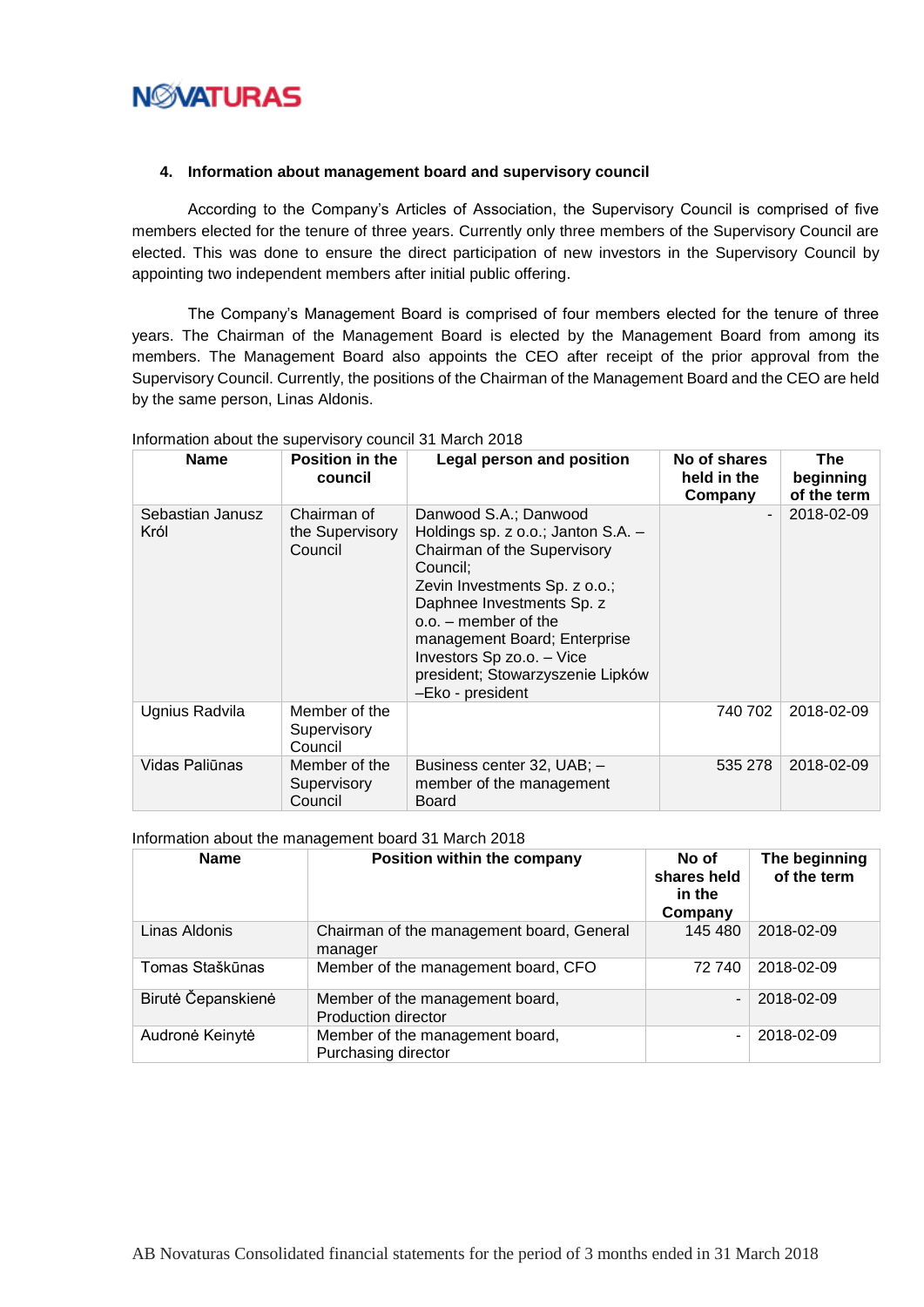

#### <span id="page-9-0"></span>**4. Information about management board and supervisory council**

According to the Company's Articles of Association, the Supervisory Council is comprised of five members elected for the tenure of three years. Currently only three members of the Supervisory Council are elected. This was done to ensure the direct participation of new investors in the Supervisory Council by appointing two independent members after initial public offering.

The Company's Management Board is comprised of four members elected for the tenure of three years. The Chairman of the Management Board is elected by the Management Board from among its members. The Management Board also appoints the CEO after receipt of the prior approval from the Supervisory Council. Currently, the positions of the Chairman of the Management Board and the CEO are held by the same person, Linas Aldonis.

| <b>Name</b>              | Position in the<br>council                | Legal person and position                                                                                                                                                                                                                                                                                           | No of shares<br>held in the<br>Company | The<br>beginning<br>of the term |
|--------------------------|-------------------------------------------|---------------------------------------------------------------------------------------------------------------------------------------------------------------------------------------------------------------------------------------------------------------------------------------------------------------------|----------------------------------------|---------------------------------|
| Sebastian Janusz<br>Król | Chairman of<br>the Supervisory<br>Council | Danwood S.A.; Danwood<br>Holdings sp. z o.o.; Janton S.A. -<br>Chairman of the Supervisory<br>Council:<br>Zevin Investments Sp. z o.o.;<br>Daphnee Investments Sp. z<br>$o.o.$ – member of the<br>management Board; Enterprise<br>Investors Sp zo.o. - Vice<br>president; Stowarzyszenie Lipków<br>-Eko - president |                                        | 2018-02-09                      |
| Ugnius Radvila           | Member of the<br>Supervisory<br>Council   |                                                                                                                                                                                                                                                                                                                     | 740 702                                | 2018-02-09                      |
| Vidas Paliūnas           | Member of the<br>Supervisory<br>Council   | Business center 32, UAB; -<br>member of the management<br>Board                                                                                                                                                                                                                                                     | 535 278                                | 2018-02-09                      |

#### Information about the supervisory council 31 March 2018

Information about the management board 31 March 2018

| <b>Name</b>        | Position within the company                            | No of<br>shares held<br>in the<br>Company | The beginning<br>of the term |
|--------------------|--------------------------------------------------------|-------------------------------------------|------------------------------|
| Linas Aldonis      | Chairman of the management board, General<br>manager   | 145 480                                   | 2018-02-09                   |
| Tomas Staškūnas    | Member of the management board, CFO                    | 72 740                                    | 2018-02-09                   |
| Birutė Čepanskienė | Member of the management board,<br>Production director | $\blacksquare$                            | 2018-02-09                   |
| Audronė Keinytė    | Member of the management board,<br>Purchasing director | $\blacksquare$                            | 2018-02-09                   |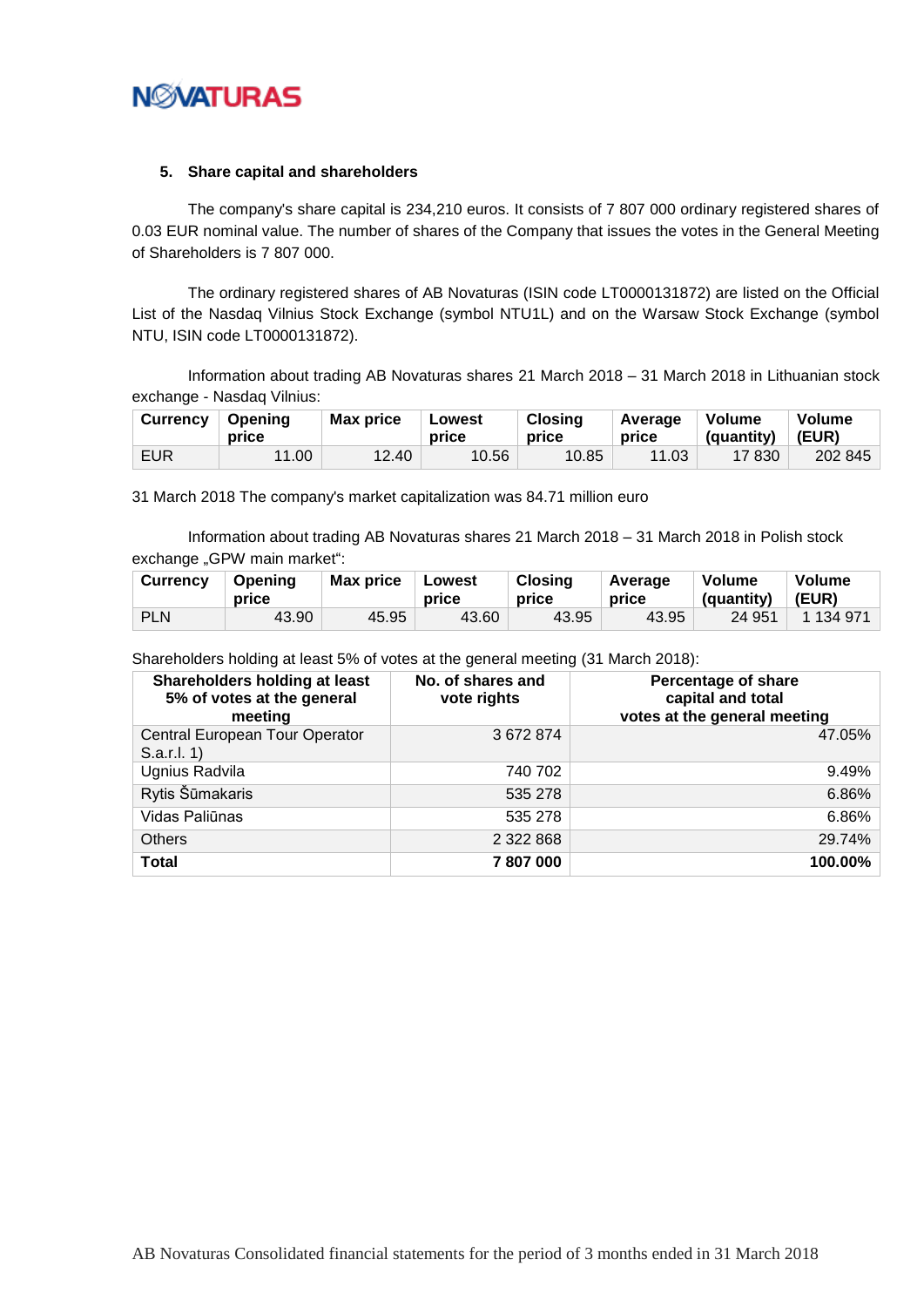

#### <span id="page-10-0"></span>**5. Share capital and shareholders**

The company's share capital is 234,210 euros. It consists of 7 807 000 ordinary registered shares of 0.03 EUR nominal value. The number of shares of the Company that issues the votes in the General Meeting of Shareholders is 7 807 000.

The ordinary registered shares of AB Novaturas (ISIN code LT0000131872) are listed on the Official List of the Nasdaq Vilnius Stock Exchange (symbol NTU1L) and on the Warsaw Stock Exchange (symbol NTU, ISIN code LT0000131872).

Information about trading AB Novaturas shares 21 March 2018 – 31 March 2018 in Lithuanian stock exchange - Nasdaq Vilnius:

| <b>Currency</b> | Openina<br>price | <b>Max price</b> | Lowest<br>price | <b>Closing</b><br>price | Average<br>price | <b>Volume</b><br>(quantity) | Volume<br>(EUR) |
|-----------------|------------------|------------------|-----------------|-------------------------|------------------|-----------------------------|-----------------|
| <b>EUR</b>      | 11.00            | 12.40            | 10.56           | 10.85                   | 11.03            | 17 830                      | 202 845         |

31 March 2018 The company's market capitalization was 84.71 million euro

Information about trading AB Novaturas shares 21 March 2018 – 31 March 2018 in Polish stock exchange "GPW main market":

| <b>Currency</b> | Openina<br>price | <b>Max price</b> | Lowest<br>price | <b>Closing</b><br>price | Average<br>price | Volume<br>(quantity) | Volume<br>(EUR) |
|-----------------|------------------|------------------|-----------------|-------------------------|------------------|----------------------|-----------------|
| <b>PLN</b>      | 43.90            | 45.95            | 43.60           | 43.95                   | 43.95            | 24 951               | 1 134 971       |

Shareholders holding at least 5% of votes at the general meeting (31 March 2018):

| Shareholders holding at least<br>5% of votes at the general<br>meeting | No. of shares and<br>vote rights | Percentage of share<br>capital and total<br>votes at the general meeting |
|------------------------------------------------------------------------|----------------------------------|--------------------------------------------------------------------------|
| Central European Tour Operator<br>S.a.r.l. 1)                          | 3672874                          | 47.05%                                                                   |
| Ugnius Radvila                                                         | 740 702                          | 9.49%                                                                    |
| Rytis Šūmakaris                                                        | 535 278                          | 6.86%                                                                    |
| Vidas Paliūnas                                                         | 535 278                          | 6.86%                                                                    |
| <b>Others</b>                                                          | 2 3 2 2 8 6 8                    | 29.74%                                                                   |
| <b>Total</b>                                                           | 7807000                          | 100.00%                                                                  |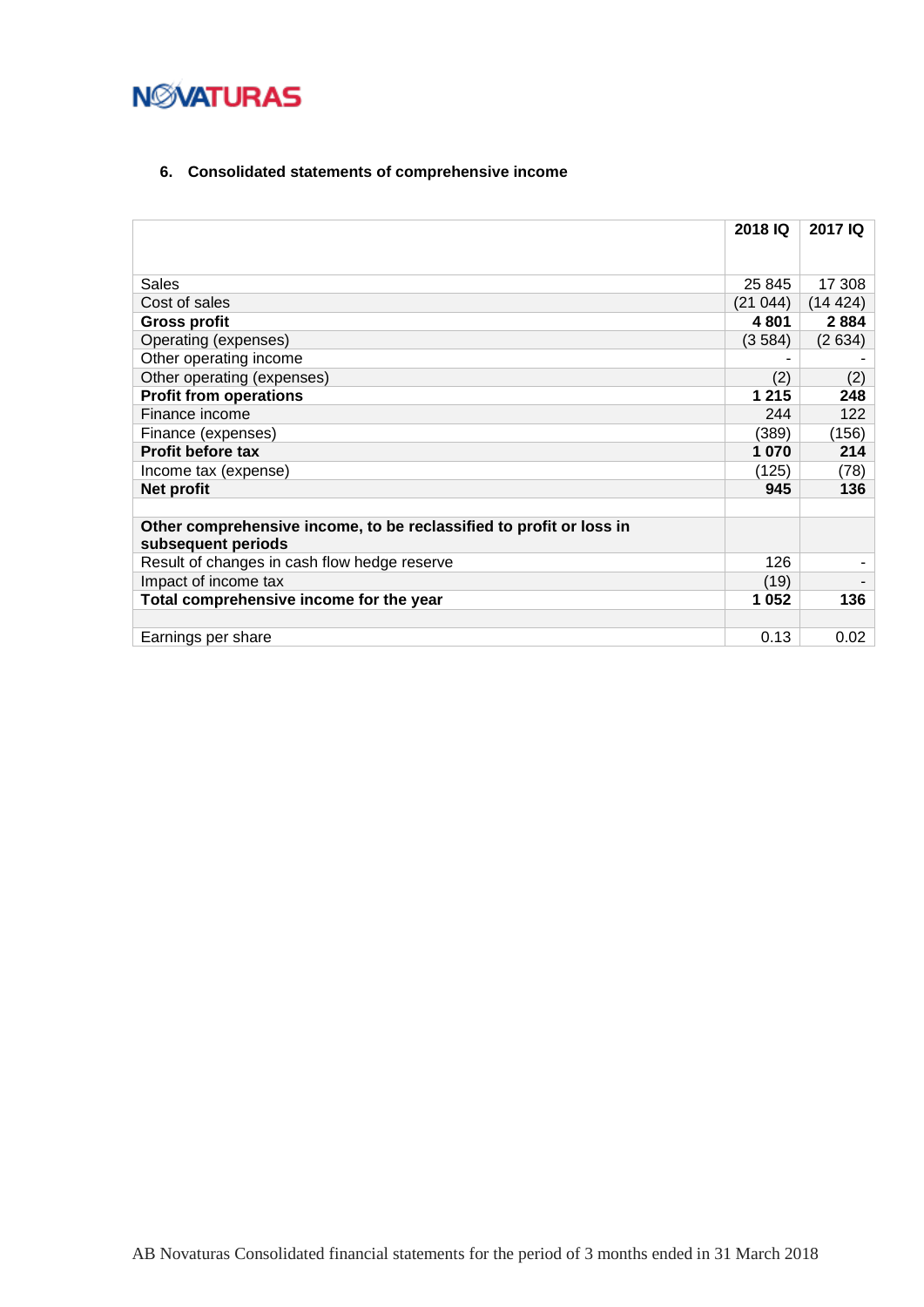## <span id="page-11-0"></span>**6. Consolidated statements of comprehensive income**

|                                                                                           | 2018 IQ | 2017 IQ |
|-------------------------------------------------------------------------------------------|---------|---------|
|                                                                                           |         |         |
| Sales                                                                                     | 25 845  | 17 308  |
| Cost of sales                                                                             | (21044) | (14424) |
| <b>Gross profit</b>                                                                       | 4 8 0 1 | 2884    |
| Operating (expenses)                                                                      | (3584)  | (2634)  |
| Other operating income                                                                    |         |         |
| Other operating (expenses)                                                                | (2)     | (2)     |
| <b>Profit from operations</b>                                                             | 1 2 1 5 | 248     |
| Finance income                                                                            | 244     | 122     |
| Finance (expenses)                                                                        | (389)   | (156)   |
| <b>Profit before tax</b>                                                                  | 1 0 7 0 | 214     |
| Income tax (expense)                                                                      | (125)   | (78)    |
| Net profit                                                                                | 945     | 136     |
|                                                                                           |         |         |
| Other comprehensive income, to be reclassified to profit or loss in<br>subsequent periods |         |         |
| Result of changes in cash flow hedge reserve                                              | 126     |         |
| Impact of income tax                                                                      | (19)    |         |
| Total comprehensive income for the year                                                   | 1 0 5 2 | 136     |
|                                                                                           |         |         |
| Earnings per share                                                                        | 0.13    | 0.02    |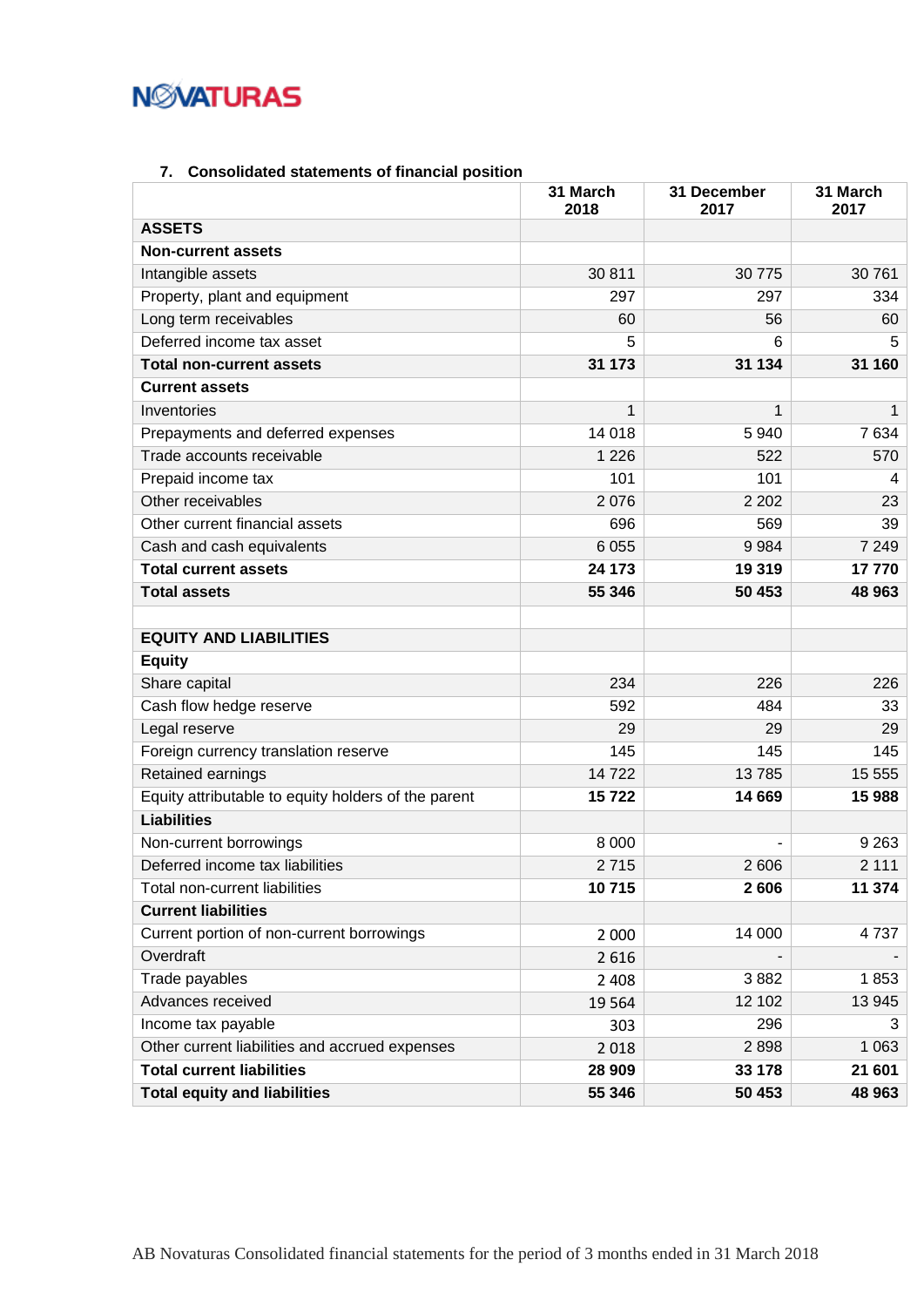## **NMATURAS**

## **7. Consolidated statements of financial position**

<span id="page-12-0"></span>

|                                                     | 31 March<br>2018 | 31 December<br>2017 | 31 March<br>2017 |
|-----------------------------------------------------|------------------|---------------------|------------------|
| <b>ASSETS</b>                                       |                  |                     |                  |
| <b>Non-current assets</b>                           |                  |                     |                  |
| Intangible assets                                   | 30 811           | 30 775              | 30761            |
| Property, plant and equipment                       | 297              | 297                 | 334              |
| Long term receivables                               | 60               | 56                  | 60               |
| Deferred income tax asset                           | 5                | 6                   | 5                |
| <b>Total non-current assets</b>                     | 31 173           | 31 134              | 31 160           |
| <b>Current assets</b>                               |                  |                     |                  |
| Inventories                                         | 1                | 1                   | 1                |
| Prepayments and deferred expenses                   | 14 018           | 5940                | 7634             |
| Trade accounts receivable                           | 1 2 2 6          | 522                 | 570              |
| Prepaid income tax                                  | 101              | 101                 | 4                |
| Other receivables                                   | 2076             | 2 2 0 2             | 23               |
| Other current financial assets                      | 696              | 569                 | 39               |
| Cash and cash equivalents                           | 6 0 5 5          | 9984                | 7 2 4 9          |
| <b>Total current assets</b>                         | 24 173           | 19 319              | 17770            |
| <b>Total assets</b>                                 | 55 346           | 50 453              | 48 963           |
|                                                     |                  |                     |                  |
| <b>EQUITY AND LIABILITIES</b>                       |                  |                     |                  |
| <b>Equity</b>                                       |                  |                     |                  |
| Share capital                                       | 234              | 226                 | 226              |
| Cash flow hedge reserve                             | 592              | 484                 | 33               |
| Legal reserve                                       | 29               | 29                  | 29               |
| Foreign currency translation reserve                | 145              | 145                 | 145              |
| Retained earnings                                   | 14722            | 13785               | 15 555           |
| Equity attributable to equity holders of the parent | 15722            | 14 669              | 15 988           |
| <b>Liabilities</b>                                  |                  |                     |                  |
| Non-current borrowings                              | 8 0 0 0          |                     | 9 2 6 3          |
| Deferred income tax liabilities                     | 2715             | 2 606               | 2 1 1 1          |
| Total non-current liabilities                       | 10715            | 2606                | 11 374           |
| <b>Current liabilities</b>                          |                  |                     |                  |
| Current portion of non-current borrowings           | 2 0 0 0          | 14 000              | 4737             |
| Overdraft                                           | 2616             |                     |                  |
| Trade payables                                      | 2 4 0 8          | 3882                | 1853             |
| Advances received                                   | 19564            | 12 102              | 13 945           |
| Income tax payable                                  | 303              | 296                 | 3                |
| Other current liabilities and accrued expenses      | 2018             | 2898                | 1 0 6 3          |
| <b>Total current liabilities</b>                    | 28 909           | 33 178              | 21 601           |
| <b>Total equity and liabilities</b>                 | 55 346           | 50 453              | 48 963           |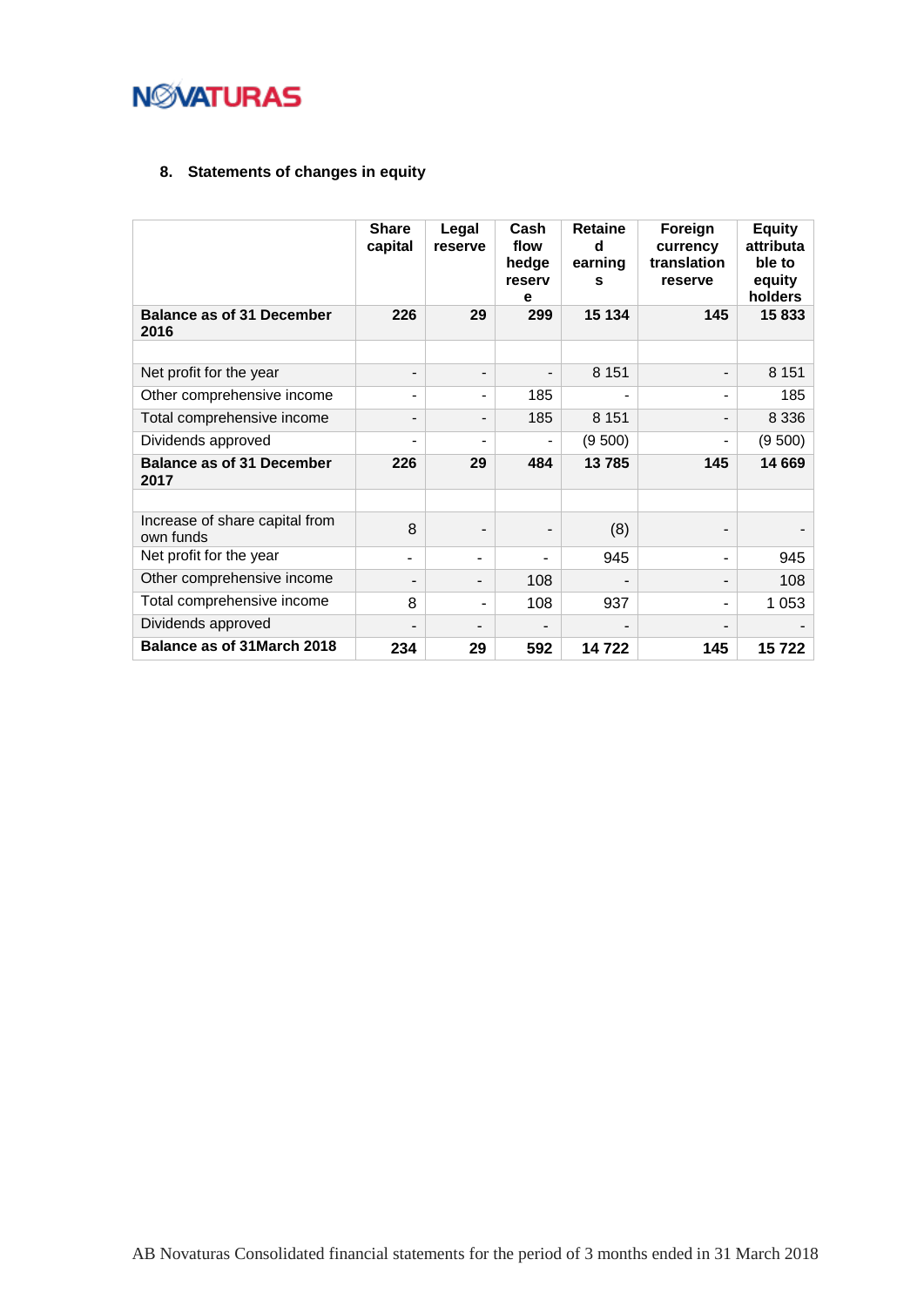

## <span id="page-13-0"></span>**8. Statements of changes in equity**

|                                             | <b>Share</b><br>capital | Legal<br>reserve             | Cash<br>flow<br>hedge<br>reserv<br>е | <b>Retaine</b><br>d<br>earning<br>s | Foreign<br>currency<br>translation<br>reserve | <b>Equity</b><br>attributa<br>ble to<br>equity<br>holders |
|---------------------------------------------|-------------------------|------------------------------|--------------------------------------|-------------------------------------|-----------------------------------------------|-----------------------------------------------------------|
| <b>Balance as of 31 December</b><br>2016    | 226                     | 29                           | 299                                  | 15 134                              | 145                                           | 15833                                                     |
|                                             |                         |                              |                                      |                                     |                                               |                                                           |
| Net profit for the year                     |                         | $\overline{\phantom{a}}$     |                                      | 8 1 5 1                             | -                                             | 8 1 5 1                                                   |
| Other comprehensive income                  |                         | $\blacksquare$               | 185                                  |                                     |                                               | 185                                                       |
| Total comprehensive income                  |                         | $\overline{\phantom{a}}$     | 185                                  | 8 1 5 1                             |                                               | 8 3 3 6                                                   |
| Dividends approved                          |                         | $\qquad \qquad \blacksquare$ |                                      | (9500)                              |                                               | (9500)                                                    |
| <b>Balance as of 31 December</b><br>2017    | 226                     | 29                           | 484                                  | 13785                               | 145                                           | 14 669                                                    |
|                                             |                         |                              |                                      |                                     |                                               |                                                           |
| Increase of share capital from<br>own funds | 8                       | $\overline{a}$               |                                      | (8)                                 |                                               |                                                           |
| Net profit for the year                     | ٠                       | ÷.                           |                                      | 945                                 |                                               | 945                                                       |
| Other comprehensive income                  |                         | Ξ.                           | 108                                  |                                     |                                               | 108                                                       |
| Total comprehensive income                  | 8                       | ۰                            | 108                                  | 937                                 |                                               | 1 0 5 3                                                   |
| Dividends approved                          |                         |                              |                                      |                                     |                                               |                                                           |
| Balance as of 31 March 2018                 | 234                     | 29                           | 592                                  | 14722                               | 145                                           | 15722                                                     |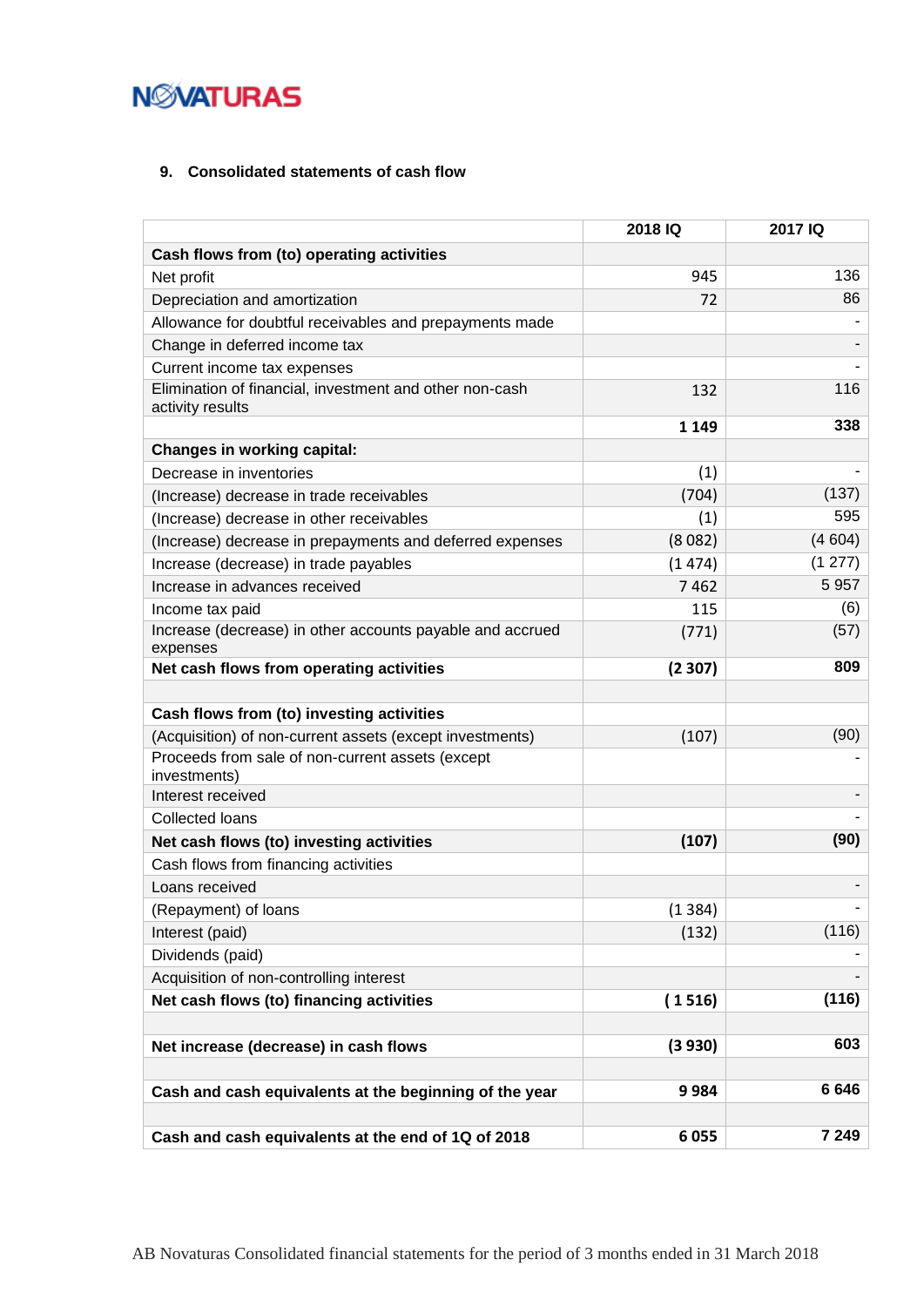## <span id="page-14-0"></span>**9. Consolidated statements of cash flow**

|                                                                             | 2018 IQ | 2017 IQ |
|-----------------------------------------------------------------------------|---------|---------|
| Cash flows from (to) operating activities                                   |         |         |
| Net profit                                                                  | 945     | 136     |
| Depreciation and amortization                                               | 72      | 86      |
| Allowance for doubtful receivables and prepayments made                     |         |         |
| Change in deferred income tax                                               |         |         |
| Current income tax expenses                                                 |         |         |
| Elimination of financial, investment and other non-cash<br>activity results | 132     | 116     |
|                                                                             | 1 1 4 9 | 338     |
| <b>Changes in working capital:</b>                                          |         |         |
| Decrease in inventories                                                     | (1)     |         |
| (Increase) decrease in trade receivables                                    | (704)   | (137)   |
| (Increase) decrease in other receivables                                    | (1)     | 595     |
| (Increase) decrease in prepayments and deferred expenses                    | (8082)  | (4604)  |
| Increase (decrease) in trade payables                                       | (1474)  | (1 277) |
| Increase in advances received                                               | 7462    | 5 9 5 7 |
| Income tax paid                                                             | 115     | (6)     |
| Increase (decrease) in other accounts payable and accrued                   | (771)   | (57)    |
| expenses                                                                    |         |         |
| Net cash flows from operating activities                                    | (2307)  | 809     |
|                                                                             |         |         |
| Cash flows from (to) investing activities                                   |         |         |
| (Acquisition) of non-current assets (except investments)                    | (107)   | (90)    |
| Proceeds from sale of non-current assets (except<br>investments)            |         |         |
| Interest received                                                           |         |         |
| Collected loans                                                             |         |         |
| Net cash flows (to) investing activities                                    | (107)   | (90)    |
| Cash flows from financing activities                                        |         |         |
| Loans received                                                              |         |         |
| (Repayment) of loans                                                        | (1384)  |         |
| Interest (paid)                                                             | (132)   | (116)   |
| Dividends (paid)                                                            |         |         |
| Acquisition of non-controlling interest                                     |         |         |
| Net cash flows (to) financing activities                                    | (1516)  | (116)   |
|                                                                             |         |         |
| Net increase (decrease) in cash flows                                       | (3930)  | 603     |
| Cash and cash equivalents at the beginning of the year                      | 9984    | 6646    |
|                                                                             |         |         |
| Cash and cash equivalents at the end of 1Q of 2018                          | 6055    | 7 2 4 9 |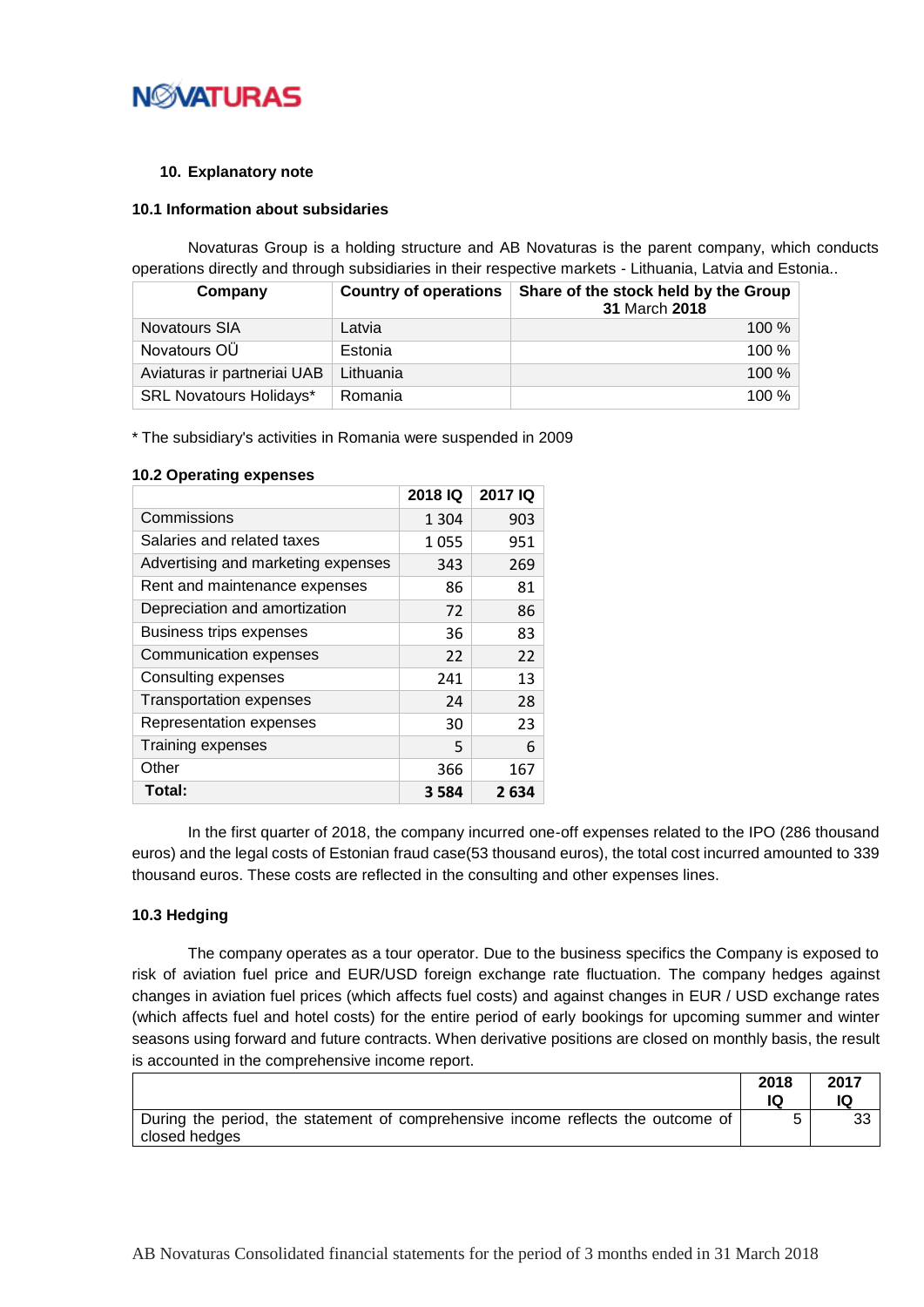

#### <span id="page-15-0"></span>**10. Explanatory note**

#### <span id="page-15-1"></span>**10.1 Information about subsidaries**

Novaturas Group is a holding structure and AB Novaturas is the parent company, which conducts operations directly and through subsidiaries in their respective markets - Lithuania, Latvia and Estonia..

| Company                        | <b>Country of operations</b> | Share of the stock held by the Group<br>31 March 2018 |
|--------------------------------|------------------------------|-------------------------------------------------------|
| <b>Novatours SIA</b>           | Latvia                       | $100\%$                                               |
| Novatours OÜ                   | Estonia                      | $100\%$                                               |
| Aviaturas ir partneriai UAB    | Lithuania                    | $100\%$                                               |
| <b>SRL Novatours Holidays*</b> | Romania                      | 100 %                                                 |

\* The subsidiary's activities in Romania were suspended in 2009

|                                    | 2018 IQ | 2017 IQ |
|------------------------------------|---------|---------|
| Commissions                        | 1 3 0 4 | 903     |
| Salaries and related taxes         | 1055    | 951     |
| Advertising and marketing expenses | 343     | 269     |
| Rent and maintenance expenses      | 86      | 81      |
| Depreciation and amortization      | 72      | 86      |
| <b>Business trips expenses</b>     | 36      | 83      |
| Communication expenses             | 22      | 22      |
| Consulting expenses                | 241     | 13      |
| <b>Transportation expenses</b>     | 24      | 28      |
| Representation expenses            | 30      | 23      |
| Training expenses                  | 5       | 6       |
| Other                              | 366     | 167     |
| Total:                             | 3 5 8 4 | 2634    |

#### <span id="page-15-2"></span>**10.2 Operating expenses**

In the first quarter of 2018, the company incurred one-off expenses related to the IPO (286 thousand euros) and the legal costs of Estonian fraud case(53 thousand euros), the total cost incurred amounted to 339 thousand euros. These costs are reflected in the consulting and other expenses lines.

### <span id="page-15-3"></span>**10.3 Hedging**

The company operates as a tour operator. Due to the business specifics the Company is exposed to risk of aviation fuel price and EUR/USD foreign exchange rate fluctuation. The company hedges against changes in aviation fuel prices (which affects fuel costs) and against changes in EUR / USD exchange rates (which affects fuel and hotel costs) for the entire period of early bookings for upcoming summer and winter seasons using forward and future contracts. When derivative positions are closed on monthly basis, the result is accounted in the comprehensive income report.

|                                                                                                   | 2018 | 2017 |
|---------------------------------------------------------------------------------------------------|------|------|
| During the period, the statement of comprehensive income reflects the outcome of<br>closed hedges |      | 33   |